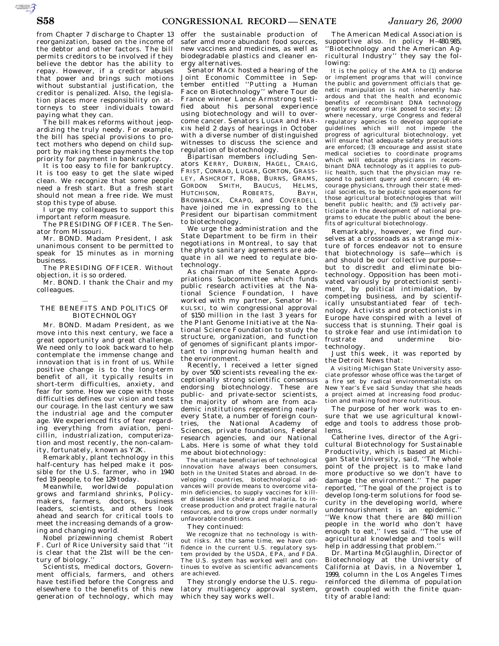from Chapter 7 discharge to Chapter 13 reorganization, based on the income of the debtor and other factors. The bill permits creditors to be involved if they believe the debtor has the ability to repay. However, if a creditor abuses that power and brings such motions without substantial justification, the creditor is penalized. Also, the legislation places more responsibility on attorneys to steer individuals toward paying what they can.

The bill makes reforms without jeopardizing the truly needy. For example, the bill has special provisions to protect mothers who depend on child support by making these payments the top priority for payment in bankruptcy.

It is too easy to file for bankruptcy. It is too easy to get the slate wiped clean. We recognize that some people need a fresh start. But a fresh start should not mean a free ride. We must stop this type of abuse.

I urge my colleagues to support this important reform measure.

The PRESIDING OFFICER. The Senator from Missouri.

Mr. BOND. Madam President, I ask unanimous consent to be permitted to speak for 15 minutes as in morning business.

The PRESIDING OFFICER. Without objection, it is so ordered.

Mr. BOND. I thank the Chair and my colleagues. <u>f</u> a strong and

## THE BENEFITS AND POLITICS OF BIOTECHNOLOGY

Mr. BOND. Madam President, as we move into this next century, we face a great opportunity and great challenge. We need only to look backward to help contemplate the immense change and innovation that is in front of us. While positive change is to the long-term benefit of all, it typically results in short-term difficulties, anxiety, and fear for some. How we cope with those difficulties defines our vision and tests our courage. In the last century we saw the industrial age and the computer age. We experienced fits of fear regarding everything from aviation, penicillin, industrialization, computerization and most recently, the non-calamity, fortunately, known as Y2K.

Remarkably, plant technology in this half-century has helped make it possible for the U.S. farmer, who in 1940 fed 19 people, to fee 129 today.

Meanwhile, worldwide population grows and farmland shrinks, Policymakers, farmers, doctors, business leaders, scientists, and others look ahead and search for critical tools to meet the increasing demands of a growing and changing world.

Nobel prizewinning chemist Robert F. Curl of Rice University said that ''it is clear that the 21st will be the century of biology.''

Scientists, medical doctors, Government officials, farmers, and others have testified before the Congress and elsewhere to the benefits of this new generation of technology, which may

offer the sustainable production of safer amd more abundant food sources, new vaccines and medicines, as well as biodegradable plastics and cleaner energy alternatives.

Senator MACK hosted a hearing of the Joint Economic Committee in September entitled ''Putting a Human Face on Biotechnology'' where Tour de France winner Lance Armstrong testified about his personal experience using biotechnology and will to overcome cancer. Senators LUGAR and HAR-KIN held 2 days of hearings in October with a diverse number of distinguished witnesses to discuss the science and regulation of biotechnology.

Bipartisan members including Senators KERRY, DURBIN, HAGEL, CRAIG, FRIST, CONRAD, LUGAR, GORTON, GRASS-LEY, ASHCROFT, ROBB, BURNS, GRAMS, GORDON SMITH, BAUCUS, HELMS, SMITH, BAUCUS, ROBERTS, HUTCHISON, ROBERTS, BAYH, BROWNBACK, CRAPO, and COVERDELL have joined me in expressing to the President our bipartisan commitment to biotechnology.

We urge the administration and the State Department to be firm in their negotiations in Montreal, to say that the phyto sanitary agreements are adequate in all we need to regulate biotechnology.

As chairman of the Senate Appropriations Subcommittee which funds public research activities at the National Science Foundation, I have worked with my partner, Senator MI-KULSKI, to win congressional approval of \$150 million in the last 3 years for the Plant Genome Initiative at the National Science Foundation to study the structure, organization, and function of genomes of significant plants important to improving human health and the environment.

Recently, I received a letter signed by over 500 scientists revealing the exceptionally strong scientific consensus endorsing biotechnology. These are public- and private-sector scientists, the majority of whom are from academic institutions representing nearly every State, a number of foreign countries, the National Academy of Sciences, private foundations, Federal research agencies, and our National Labs. Here is some of what they told me about biotechnology:

The ultimate beneficiaries of technological innovation have always been consumers, both in the United States and abroad. In developing countries, biotechnological advances will provide means to overcome vitamin deficiencies, to supply vaccines for killer diseases like cholera and malaria, to increase production and protect fragile natural resources, and to grow crops under normally unfavorable conditions.

They continued:

We recognize that no technology is without risks. At the same time, we have confidence in the current U.S. regulatory system provided by the USDA, EPA, and FDA. The U.S. system has worked well and continues to evolve as scientific advancements are achieved.

They strongly endorse the U.S. regulatory multiagency approval system, which they say works well.

The American Medical Association is supportive also. In policy H–480.985, ''Biotechnology and the American Agricultural Industry'' they say the following:

It is the policy of the AMA to (1) endorse or implement programs that will convince the public and government officials that genetic manipulation is not inherently hazardous and that the health and economic benefits of recombinant DNA technology greatly exceed any risk posed to society;  $\overline{(2)}$ where necessary, urge Congress and federal regulatory agencies to develop appropriate guidelines which will not impede the progress of agricultural biotechnology, yet will ensure that adequate safety precautions are enforced; (3) encourage and assist state medical societies to coordinate programs which will educate physicians in recom-binant DNA technology as it applies to public health, such that the physician may respond to patient query and concern;  $(4)$  encourage physicians, through their state medical societies, to be public spokespersons for those agricultural biotechnologies that will benefit public health; and (5) actively participate in the development of national programs to educate the public about the benefits of agricultural biotechnology.

Remarkably, however, we find ourselves at a crossroads as a strange mixture of forces endeavor not to ensure that biotechnology is safe—which is and should be our collective purposebut to discredit and eliminate biotechnology. Opposition has been motivated variously by protectionist sentiment, by political intimidation, by competing business, and by scientifically unsubstantiated fear of technology. Activists and protectionists in Europe have conspired with a level of success that is stunning. Their goal is to stroke fear and use intimidation to frustrate and undermine biotechnology.

Just this week, it was reported by the Detroit News that:

A visiting Michigan State University associate professor whose office was the target of a fire set by radical environmentalists on New Year's Eve said Sunday that she heads a project aimed at increasing food production and making food more nutritious.

The purpose of her work was to ensure that we use agricultural knowledge and tools to address those problems.

Catherine Ives, director of the Agricultural Biotechnology for Sustainable Productivity, which is based at Michigan State University, said, ''The whole point of the project is to make land more productive so we don't have to damage the environment.'' The paper reported, ''The goal of the project is to develop long-term solutions for food security in the developing world, where undernourishment is an epidemic.'' ''We know that there are 840 million people in the world who don't have enough to eat,'' Ives said. ''The use of agricultural knowledge and tools will help in addressing that problem.''

Dr. Martina McGlaughlin, Director of Biotechnology at the University of California at Davis, in a November 1, 1999, column in the Los Angeles Times reinforced the dilemma of population growth coupled with the finite quantity of arable land:

AUTOROTOMICALE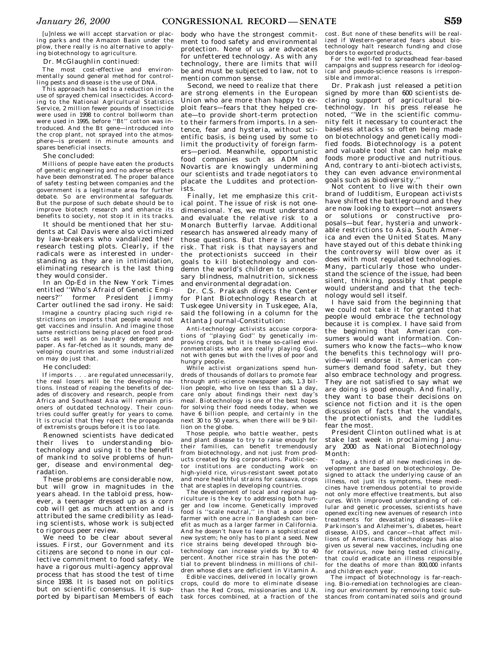[u]nless we will accept starvation or placing parks and the Amazon Basin under the plow, there really is no alternative to applying biotechnology to agriculture.

# Dr. McGlaughlin continued:

The most cost-effective and environmentally sound general method for controlling pests and disease is the use of DNA.

This approach has led to a reduction in the use of sprayed chemical insecticides. According to the National Agricultural Statistics Service, 2 million fewer pounds of insecticide were used in 1998 to control bollworm than were used in 1995, before ''Bt'' cotton was introduced. And the Bt gene—introduced into the crop plant, not sprayed into the atmosphere—is present in minute amounts and spares beneficial insects.

She concluded:

Millions of people have eaten the products of genetic engineering and no adverse effects have been demonstrated. The proper balance of safety testing between companies and the government is a legitimate area for further debate. So are environmental safeguards. But the purpose of such debate should be to improve biotech research and enhance its benefits to society, not stop it in its tracks.

It should be mentioned that her students at Cal Davis were also victimized by law-breakers who vandalized their research testing plots. Clearly, if the radicals were as interested in understanding as they are in intimidation, eliminating research is the last thing they would consider.

In an Op-Ed in the New York Times entitled ''Who's Afraid of Genetic Engineers?'' former President Jimmy Carter outlined the sad irony. He said:

Imagine a country placing such rigid restrictions on imports that people would not get vaccines and insulin. And imagine those same restrictions being placed on food products as well as on laundry detergent and paper. As far-fetched as it sounds, many developing countries and some industrialized on may do just that.

He concluded:

If imports . . . are regulated unnecessarily, the real losers will be the developing nations. Instead of reaping the benefits of decades of discovery and research, people from Africa and Southeast Asia will remain prisoners of outdated technology. Their countries could suffer greatly for years to come. It is crucial that they reject the propaganda of extremists groups before it is too late.

Renowned scientists have dedicated their lives to understanding biotechnology and using it to the benefit of mankind to solve problems of hunger, disease and environmental degradation.

These problems are considerable now, but will grow in magnitudes in the years ahead. In the tabloid press, however, a teenager dressed up as a corn cob will get as much attention and is attributed the same credibility as leading scientists, whose work is subjected to rigorous peer review.

We need to be clear about several issues. First, our Government and its citizens are second to none in our collective commitment to food safety. We have a rigorous multi-agency approval process that has stood the test of time since 1938. It is based not on politics but on scientific consensus. It is supported by bipartisan Members of each

body who have the strongest commitment to food safety and environmental protection. None of us are advocates for unfettered technology. As with any technology, there are limits that will be and must be subjected to law, not to mention common sense.

Second, we need to realize that there are strong elements in the European Union who are more than happy to exploit fears—fears that they helped create—to provide short-term protection to their farmers from imports. In a sentence, fear and hysteria, without scientific basis, is being used by some to limit the productivity of foreign farmers—period. Meanwhile, opportunistic food companies such as ADM and Novartis are knowingly undermining our scientists and trade negotiators to placate the Luddites and protectionists.

Finally, let me emphasize this critical point. The issue of risk is not onedimensional. Yes, we must understand and evaluate the relative risk to a Monarch Butterfly larvae. Additional research has answered already many of those questions. But there is another risk. That risk is that naysayers and the protectionists succeed in their goals to kill biotechnology and condemn the world's children to unnecessary blindness, malnutrition, sickness and environmental degradation.

Dr. C.S. Prakash directs the Center for Plant Biotechnology Research at Tuskegee University in Tuskegee, Ala, said the following in a column for the Atlanta Journal-Constitution:

Anti-technology activists accuse corporations of ''playing God'' by genetically improving crops, but it is these so-called environmentalists who are really playing God, not with genes but with the lives of poor and hungry people.

While activist organizations spend hundreds of thousands of dollars to promote fear through anti-science newspaper ads, 1.3 billion people, who live on less than \$1 a day, care only about findings their next day's meal. Biotechnology is one of the best hopes for solving their food needs today, when we have 6 billion people, and certainly in the next 30 to 50 years, when there will be 9 billion on the globe.

Those people, who battle weather, pests and plant disease to try to raise enough for their families, can benefit tremendously from biotechnology, and not just from products created by big corporations. Public-sector institutions are conducting work on high-yield rice, virus-resistant sweet potato and more healthful strains for cassava, crops that are staples in developing countries.

The development of local and regional agriculture is the key to addressing both hunger and low income. Genetically improved food is ''scale neutral,'' in that a poor rice farmer with one acre in Bangladesh can benefit as much as a larger farmer in California. And he doesn't have to learn a sophisticated new system; he only has to plant a seed. New rice strains being developed through biotechnology can increase yields by 30 to 40 percent. Another rice strain has the potential to prevent blindness in millions of children whose diets are deficient in Vitamin A.

Edible vaccines, delivered in locally grown crops, could do more to eliminate disease than the Red Cross, missionaries and U.N. task forces combined, at a fraction of the

cost. But none of these benefits will be realized if Western-generated fears about biotechnology halt research funding and close

borders to exported products. For the well-fed to spreadhead fear-based campaigns and suppress research for ideological and pseudo-science reasons is irresponsible and immoral.

Dr. Prakash just released a petition signed by more than 600 scientists declaring support of agricultural biotechnology. In his press release he noted, ''We in the scientific community felt it necessary to counteract the baseless attacks so often being made on biotechnology and genetically modified foods. Biotechnology is a potent and valuable tool that can help make foods more productive and nutritious. And, contrary to anti-biotech activists, they can even advance environmental goals such as biodiversity.''

Not content to live with their own brand of ludditism, European activists have shifted the battleground and they are now looking to export—not answers or solutions or constructive proposals—but fear, hysteria and unworkable restrictions to Asia, South America and even the United States. Many have stayed out of this debate thinking the controversy will blow over as it does with most regulated technologies. Many, particularly those who understand the science of the issue, had been silent, thinking, possibly that people would understand and that the technology would sell itself.

I have said from the beginning that we could not take it for granted that people would embrace the technology because it is complex. I have said from the beginning that American consumers would want information. Consumers who know the facts—who know the benefits this technology will provide—will endorse it. American consumers demand food safety, but they also embrace technology and progress. They are not satisfied to say what we are doing is good enough. And finally, they want to base their decisions on science not fiction and it is the open discussion of facts that the vandals, the protectionists, and the luddites fear the most.

President Clinton outlined what is at stake last week in proclaiming January 2000 as National Biotechnology Month:

Today, a third of all new medicines in development are based on biotechnology. Designed to attack the underlying cause of an illness, not just its symptoms, these medicines have tremendous potential to provide not only more effective treatments, but also cures. With improved understanding of cellular and genetic processes, scientists have opened exciting new avenues of research into treatments for devastating diseases—like Parkinson's and Alzheimer's, diabetes, heart disease, AIDS, and cancer—that affect millions of Americans. Biotechnology has also given us several new vaccines, including one for rotavirus, now being tested clinically, that could eradicate an illness responsible for the deaths of more than 800,000 infants and children each year.

The impact of biotechnology is far-reaching. Bio-remediation technologies are cleaning our environment by removing toxic substances from contaminated soils and ground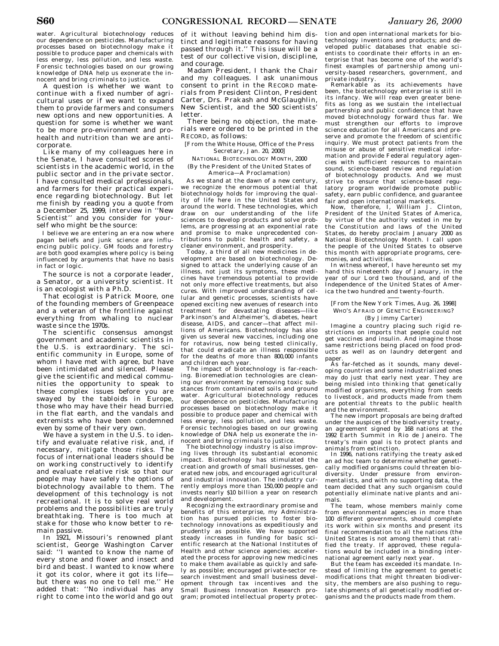water. Agricultural biotechnology reduces our dependence on pesticides. Manufacturing processes based on biotechnology make it possible to produce paper and chemicals with less energy, less pollution, and less waste. Forensic technologies based on our growing knowledge of DNA help us exonerate the innocent and bring criminals to justice.

A question is whether we want to continue with a fixed number of agricultural uses or if we want to expand them to provide farmers and consumers new options and new opportunities. A question for some is whether we want to be more pro-environment and prohealth and nutrition than we are anticorporate.

Like many of my colleagues here in the Senate, I have consulted scores of scientists in the academic world, in the public sector and in the private sector. I have consulted medical professionals, and farmers for their practical experience regarding biotechnology. But let me finish by reading you a quote from a December 25, 1999, interview in ''New Scientist'' and you consider for yourself who might be the source:

I believe we are entering an era now where pagan beliefs and junk science are influencing public policy. GM foods and forestry are both good examples where policy is being influenced by arguments that have no basis in fact or logic.

The source is not a corporate leader, a Senator, or a university scientist. It is an ecologist with a Ph.D.

That ecologist is Patrick Moore, one of the founding members of Greenpeace and a veteran of the frontline against everything from whaling to nuclear waste since the 1970s.

The scientific consensus amongst government and academic scientists in the U.S. is extraordinary. The scientific community in Europe, some of whom I have met with agree, but have been intimidated and silenced. Please give the scientific and medical communities the opportunity to speak to these complex issues before you are swayed by the tabloids in Europe, those who may have their head burried in the flat earth, and the vandals and extremists who have been condemned even by some of their very own.

We have a system in the U.S. to identify and evaluate relative risk, and, if necessary, mitigate those risks. The focus of international leaders should be on working constructively to identify and evaluate relative risk so that our people may have safely the options of biotechnology available to them. The development of this technology is not recreational. It is to solve real world problems and the possibilities are truly breathtaking. There is too much at stake for those who know better to remain passive.

In 1921, Missouri's renowned plant scientist, George Washington Carver said: ''I wanted to know the name of every stone and flower and insect and bird and beast. I wanted to know where it got its color, where it got its life but there was no one to tell me.'' He added that: ''No individual has any right to come into the world and go out

of it without leaving behind him distinct and legitimate reasons for having passed through it.'' This issue will be a test of our collective vision, discipline, and courage.

Madam President, I thank the Chair and my colleagues. I ask unanimous consent to print in the RECORD materials from President Clinton, President Carter, Drs. Prakash and McGlaughlin, New Scientist, and the 500 scientists' letter.

There being no objection, the materials were ordered to be printed in the RECORD, as follows:

[From the White House, Office of the Press Secretary, Jan. 20, 2000]

NATIONAL BIOTECHNOLOGY MONTH, 2000

(By the President of the United States of America—A Proclamation)

As we stand at the dawn of a new century, we recognize the enormous potential that biotechnology holds for improving the quality of life here in the United States and around the world. These technologies, which draw on our understanding of the life sciences to develop products and solve problems, are progressing at an exponential rate and promise to make unprecedented contributions to public health and safety, a cleaner environment, and prosperity.

Today, a third of all new medicines in development are based on biotechnology. Designed to attack the underlying cause of an illness, not just its symptoms, these medicines have tremendous potential to provide not only more effective treatments, but also cures. With improved understanding of cellular and genetic processes, scientists have opened exciting new avenues of research into treatment for devastating diseases—like Parkinson's and Alzheimer's, diabetes, heart disease, AIDS, and cancer—that affect millions of Americans. Biotechnology has also given us several new vaccines, including one for rotavirus, now being tested clinically, that could eradicate an illness responsible for the deaths of more than 800,000 infants and children each year.

The impact of biotechnology is far-reaching. Bioremediation technologies are cleaning our environment by removing toxic substances from contaminated soils and ground water. Agricultural biotechnology reduces our dependence on pesticides. Manufacturing processes based on biotechnology make it possible to produce paper and chemical with less energy, less pollution, and less waste. Forensic technologies based on our growing knowledge of DNA help us exonerate the innocent and bring criminals to justice.

The biotechnology industry is also improving lives through its substantial economic impact. Biotechnology has stimulated the creation and growth of small businesses, generated new jobs, and encouraged agricultural and industrial innovation. The industry currently employs more than 150,000 people and invests nearly \$10 billion a year on research and development.

Recognizing the extraordinary promise and benefits of this enterprise, my Administration has pursued policies to foster biotechnology innovations as expeditiously and prudently as possible. We have supported steady increases in funding for basic scientific research at the National Institutes of Health and other science agencies; accelerated the process for approving new medicines to make them available as quickly and safely as possible; encouraged private-sector research investment and small business development through tax incentives and the Small Business Innovation Research program; promoted intellectual property protec-

tion and open international markets for biotechnology inventions and products; and developed public databases that enable scientists to coordinate their efforts in an enterprise that has become one of the world's finest examples of partnership among university-based researchers, government, and private industry.

Remarkable as its achievements have been, the biotechnology enterprise is still in its infancy. We will reap even greater benefits as long as we sustain the intellectual partnership and public confidence that have moved biotechnology forward thus far. We must strengthen our efforts to improve science education for all Americans and preserve and promote the freedom of scientific inquiry. We must protect patients from the misuse or abuse of sensitive medical information and provide Federal regulatory agencies with sufficient resources to maintain sound, science-based review and regulation of biotechnology products. And we must strive to ensure that science-based regulatory program worldwide promote public safety, earn public confidence, and guarantee fair and open international markets.

Now, therefore, I, William J. Clinton, President of the United States of America, by virtue of the authority vested in me by the Constitution and laws of the United States, do hereby proclaim January 2000 as National Biotechnology Month. I call upon the people of the United States to observe this month with appropriate programs, ceremonies, and activities.

In witness whereof, I have hereunto set my hand this nineteenth day of January, in the year of our Lord two thousand, and of the Independence of the United States of America the two hundred and twenty-fourth.

[From the New York Times, Aug. 26, 1998] WHO'S AFRAID OF GENETIC ENGINEERING?

### (By Jimmy Carter)

Imagine a country placing such rigid restrictions on imports that people could not get vaccines and insulin. And imagine those same restrictions being placed on food products as well as on laundry detergent and paper.

As far-fetched as it sounds, many developing countries and some industrialized ones may do just that early next year. They are being misled into thinking that genetically modified organisms, everything from seeds to livestock, and products made from them are potential threats to the public health and the environment.

The new import proposals are being drafted under the auspices of the biodiversity treaty, an agreement signed by 168 nations at the 1992 Earth Summit in Rio de Janeiro. The treaty's main goal is to protect plants and animals from extinction.

In 1996, nations ratifying the treaty asked an ad hoc team to determine whether genetically modified organisms could threaten biodiversity. Under pressure from environmentalists, and with no supporting data, the team decided that any such organism could potentially eliminate native plants and animals.

The team, whose members mainly come from environmental agencies in more than 100 different governments, should complete its work within six months and present its final recommendation to all the nations (the United States is not among them) that ratified the treaty. If approved, these regulations would be included in a binding international agreement early next year.

But the team has exceeded its mandate. Instead of limiting the agreement to genetic modifications that might threaten biodiversity, the members are also pushing to regulate shipments of all genetically modified organisms and the products made from them.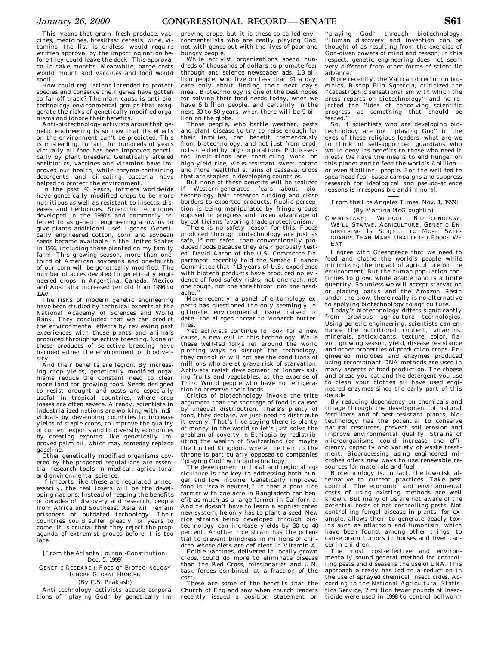This means that grain, fresh produce, vaccines, medicines, breakfast cereals, wine, vitamins—the list is endless—would require written approval by the importing nation before they could leave the dock. This approval could take months. Meanwhile, barge costs would mount and vaccines and food would spoil.

How could regulations intended to protect species and conserve their genes have gotten so far off track? The main cause is anti-biotechnology environmental groups that exaggerate the risks of genetically modified organisms and ignore their benefits.

Anti-biotechnology activists argue that genetic engineering is so new that its effects on the environment can't be predicted. This is misleading. In fact, for hundreds of years virtually all food has been improved genetically by plant breeders. Genetically altered antibiotics, vaccines and vitamins have improved our health, while enzyme-containing detergents and oil-eating bacteria have helped to protect the environment.

In the past 40 years, farmers worldwide have genetically modified crops to be more nutritious as well as resistant to insects, diseases and herbicides. Scientific techniques developed in the 1980's and commonly referred to as genetic engineering allow us to give plants additional useful genes. Genetically engineered cotton, corn and soybean seeds became available in the United States in 1996, including those planted on my family farm. This growing season, more than onethird of American soybeans and one-fourth of our corn will be genetically modified. The number of acres devoted to genetically engineered crops in Argentina, Canada, Mexico and Australia increased tenfold from 1996 to 1997.

The risks of modern genetic engineering have been studied by technical experts at the National Academy of Sciences and World Bank. They concluded that we can predict the environmental effects by reviewing past experiences with those plants and animals produced through selective breeding. None of these products of selective breeding have harmed either the environment or biodiversity.

And their benefits are legion. By increasing crop yields, genetically modified organisms reduce the constant need to clear more land for growing food. Seeds designed to resist drought and pests are especially useful in tropical countries, where crop losses are often severe. Already, scientists in industrialized nations are working with individuals by developing countries to increase yields of staple crops, to improve the quality of current exports and to diversify economies by creating exports like genetically improved palm oil, which may someday replace gasoline.

Other genetically modified organisms covered by the proposed regulations are essential research tools in medical, agricultural and environmental science.

If imports like these are regulated unnecessarily, the real losers will be the developing nations. Instead of reaping the benefits of decades of discovery and research, people from Africa and Southeast Asia will remain prisoners of outdated technology. Their countries could suffer greatly for years to come. It is crucial that they reject the propaganda of extremist groups before it is too late.

## [From the Atlanta Journal-Constitution, Dec. 5, 1999]

GENETIC RESEARCH: FOES OF BIOTECHNOLOGY IGNORE GLOBAL HUNGER (By C.S. Prakash)

Anti-technology activists accuse corporations of ''playing God'' by genetically improving crops, but it is these so-called environmentalists who are really playing God, not with genes but with the lives of poor and hungry people.<br>While activi

activist organizations spend hundreds of thousands of dollars to promote fear through anti-science newspaper ads, 1.3 billion people, who live on less than \$1 a day, care only about finding their next day's meal. Biotechnology is one of the best hopes for solving their food needs today, when we have 6 billion people, and certainly in the next 30 to 50 years, when there will be 9 billion on the globe.

Those people, who battle weather, pests and plant disease to try to raise enough for their families, can benefit tremendously from biotechnology, and not just from products created by big corporations. Public-sector institutions are conducting work on high-yield rice, virus-resistant sweet potato and more healthful strains of cassava, crops that are staples in developing countries.

But none of these benefits will be realized<br>if Western-generated fears, about bio-Western-generated fears about biotechnology halt research funding and close borders to exported products. Public perception is being manipulated by fringe groups opposed to progress and taken advantage of by politicians favoring trade protectionism.

There is no safety reason for this. Foods produced through biotechnology are just as safe, if not safer, than conventionally produced foods because they are rigorously tested. David Aaron of the U.S. Commerce Department recently told the Senate Finance Committee that ''13 years of U.S. experience with biotech products have produced no evidence of food safety risks; not one rash, not one cough, not one sore throat, not one headache.''

More recently, a panel of entomology experts has questioned the only seemingly legitimate environmental issue raised to date—the alleged threat to Monarch butterflies.

Yet activists continue to look for a new cause, a new evil in this technology. While these well-fed folks jet around the world plotting ways to disrupt the technology, they cannot or will not see the conditions of millions who are at grave risk of starvation. Activists resist development of longer-lasting fruits and vegetables, at the expense of Third World people who have no refrigeration to preserve their foods.

Critics of biotechnology invoke the trite argument that the shortage of food is caused by unequal distribution. There's plenty of food, they declare, we just need to distribute it evenly. That's like saying there is plenty of money in the world so let's just solve the problem of poverty in Ethiopia by redistributing the wealth of Switzerland (or maybe the United Kingdom, where the heir to the throne is particularly opposed to companies 'playing God'' with biotechnology).

The development of local and regional agriculture is the key to addressing both hunger and low income. Genetically improved food is ''scale neutral,'' in that a poor rice farmer with one acre in Bangladesh can benefit as much as a large farmer in California. And he doesn't have to learn a sophisticated new system; he only has to plant a seed. New rice strains being developed through biotechnology can increase yields by 30 to 40 percent. Another rice strain has the potential to prevent blindness in millions of children whose diets are deficient in Vitamin A.

Edible vaccines, delivered in locally grown crops, could do more to eliminate disease than the Red Cross, missionaries and U.N. task forces combined, at a fraction of the cost.

These are some of the benefits that the Church of England saw when church leaders recently issued a position statement on

playing God" through biotechnology: ''Human discovery and invention can be thought of as resulting from the exercise of God-given powers of mind and reason; in this respect, genetic engineering does not seem very different from other forms of scientific advance.''

More recently, the Vatican director on bioethics, Bishop Elio Sgreccia, criticized the ''catastrophic sensationalism with which the press reports on biotechnology'' and he rejected the "idea of conceiving scientific<br>progress as something that should be progress as something that feared.''

So, if scientists who are developing biotechnology are not ''playing God'' in the eyes of these religious leaders, what are we to think of self-appointed guardians who would deny its benefits to those who need it most? We have the means to end hunger on this planet and to feed the world's 6 billion or even 9 billion—people. For the well-fed to spearhead fear-based campaigns and suppress research for ideological and pseudo-science reasons is irresponsible and immoral.

## [From the Los Angeles Times, Nov. 1, 1999] (By Martina McGloughlin)

COMMENTARY; WITHOUT BIOTECHNOLOGY, WE'LL STARVE; AGRICULTURE: GENETIC EN-GINEERING IS SUBJECT TO MORE SAFE-GUARDS THAN MANY UNALTERED FOODS WE EAT

I agree with Greenpeace that we need to feed and clothe the world's people while minimizing the impact of agriculture on the environment. But the human population continues to grow, while arable land is a finite quantity. So unless we will accept starvation or placing parks and the Amazon Basin under the plow, there really is no alternative to applying biotechnology to agriculture.

Today's biotechnology differs significantly from previous agriculture technologies. Using genetic engineering, scientists can enhance the nutritional content, vitamins minerals, antioxidants, texture, color, flavor, growing season, yield, disease resistance and other properties of production crops. Engineered microbes and enzymes produced using recombinant DNA methods are used in many aspects of food production. The cheese and bread you eat and the detergent you use to clean your clothes all have used engineered enzymes since the early part of this decade.

By reducing dependency on chemicals and tillage through the development of natural fertilizers and of pest-resistant plants, biotechnology has the potential to conserve natural resources, prevent soil erosion and improve environmental quality. Strains of microorganisms could increase the efficiency, capacity and variety of waste treatment. Bioprocessing using engineered microbes offers new ways to use renewable resources for materials and fuel.

Biotechnology is, in fact, the low-risk alternative to current practices. Take pest control. The economic and environmental costs of using existing methods are well known. But many of us are not aware of the potential costs of not controlling pests. Not controlling fungal disease in plants, for example, allows them to generate deadly toxins such as aflatoxin and fumonisin, which have been found, among other things, to cause brain tumors in horses and liver cancer in children.

The most cost-effective and environmentally sound general method for controlling pests and disease is the use of DNA. This approach already has led to a reduction in the use of sprayed chemical insecticides. According to the National Agricultural Statistics Service, 2 million fewer pounds of insecticide were used in 1998 to control bollworm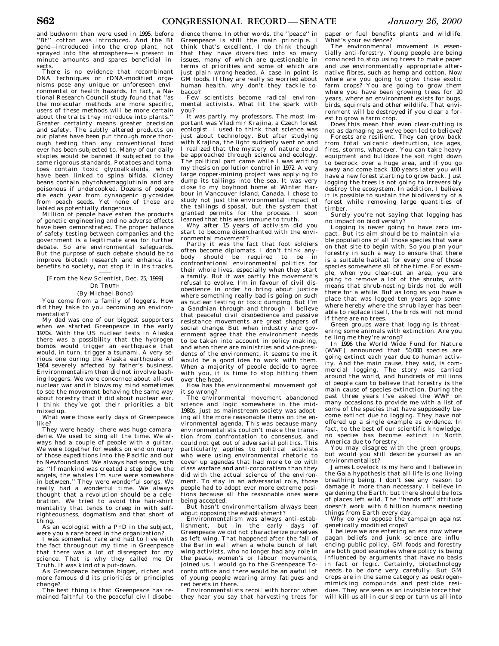and budworm than were used in 1995, before ''Bt'' cotton was introduced. And the Bt gene—introduced into the crop plant, not sprayed into the atmosphere—is present in minute amounts and spares beneficial insects.

There is no evidence that recombinant DNA techniques or rDNA-modified organisms pose any unique or unforeseen environmental or health hazards. In fact, a Na-tional Research Council study found that ''as the molecular methods are more specific, users of these methods will be more certain about the traits they introduce into plants.'' Greater certainty means greater precision and safety. The subtly altered products on our plates have been put through more thorough testing than any conventional food ever has been subjected to. Many of our daily staples would be banned if subjected to the same rigorous standards. Potatoes and tomatoes contain toxic glycoalkaloids, which have been linked to spina bifida. Kidney beans contain phytohaemagglutinin and are poisonous if undercooked. Dozens of people die each year from cynaogenic glycosides from peach seeds. Yet none of those are labled as potentially dangerous.

Million of people have eaten the products of genetic engineering and no adverse effects have been demonstrated. The proper balance of safety testing between companies and the government is a legitimate area for further debate. So are environmental safeguards. But the purpose of such debate should be to improve biotech research and enhance its benefits to society, not stop it in its tracks.

[From the New Scientist, Dec. 25, 1999] DR TRUTH

# (By Michael Bond)

You come from a family of loggers. How did they take to you becoming an environmentalist?

My dad was one of our biggest supporters when we started Greenpeace in the early 1970s. With the US nuclear tests in Alaska there was a possibility that the hydrogen bombs would trigger an earthquake that would, in turn, trigger a tsunami. A very serious one during the Alaska earthquake of 1964 severely affected by father's business. Environmentalism then did not involve bashing loggers. We were concerned about all-out nuclear war and it blows my mind sometimes to see the movement behaving the same way about forestry that it did about nuclear war. I think they've got their priorities a bit mixed up.

What were those early days of Greenpeace like?

They were heady—there was huge camaraderie. We used to sing all the time. We always had a couple of people with a guitar. We were together for weeks on end on many of those expeditions into the Pacific and out to Newfoundland. We always had songs, such as: ''If mankind was created a step below the angels, the whales I'm sure were somewhere in between.'' They were wonderful songs. We really had a wonderful time. We always thought that a revolution should be a celebration. We tried to avoid the hair-shirt mentality that tends to creep in with selfrighteousness, dogmatism and that short of thing.

As an ecologist with a PhD in the subject, were you a rare breed in the organization?

I was somewhat rare and had to live with the fact throughout my time in Greenpeace that there was a lot of disrespect for my science. That is why they called me Dr Truth. It was kind of a put-down.

As Greenpeace became bigger, richer and more famous did its priorities or principles change?

The best thing is that Greenpeace has remained faithful to the peaceful civil disobe-

dience theme. In other words, the ''peace'' in Greenpeace is still the main principle. I think that's excellent. I do think though that they have diversified into so many issues, many of which are questionable in terms of priorities and some of which are just plain wrong-headed. A case in point is GM foods. If they are really so worried about human health, why don't they tackle tobacco?

Few scientists become radical environmental activists. What lit the spark with you?

It was partly my professors. The most important was Vladimir Krajina, a Czech forest ecologist. I used to think that science was just about technology. But after studying with Krajina, the light suddenly went on and I realized that the mystery of nature could be approached through science and ecology. The political part came while I was writing my thesis on pollution control in 1972. A very large copper-mining project was applying to dump its tailings into the sea. It was very close to my boyhood home at Winter Harbour in Vancouver Island, Canada. I chose to study not just the environmental impact of the tailings disposal, but the system that granted permits for the process. I soon learned that this was immune to truth.

Why after 15 years of activism did you start to become disenchanted with the environmental movement?

Partly it was the fact that foot soldiers often become diplomats. I don't think anybody should be required to be in confrontational environmental politics for their whole lives, especially when they start a family. But it was partly the movement's refusal to evolve. I'm in favour of civil disobedience in order to bring about justice where something really bad is going on such as nuclear testing or toxic dumping. But I'm a Gandhian through and through—I believe that peaceful civil disobedience and passive resistance movements are great shapers of social change. But when industry and government agree that the environment needs to be taken into account in policy making, and when there are ministries and vice-presidents of the environment, it seems to me it would be a good idea to work with them. When a majority of people decide to agree with you, it is time to stop hitting them over the head.

How has the environmental movement got it so wrong?

The environmental movement abandoned science and logic somewhere in the mid-1980s, just as mainstream society was adopting all the more reasonable items on the environmental agenda. This was because many environmentalists couldn't make the transition from confrontation to consensus, and could not get out of adversarial politics. This particularly applies to political activists who were using environmental rhetoric to cover up agendas that had more to do with class warfare and anti-corporatism than they did with the actual science of the environment. To stay in an adversarial role, those people had to adopt ever more extreme positions because all the reasonable ones were being accepted.

But hasn't environmentalism always been about opposing the establishment?

Environmentalism was always anti-establishment, but in the early days of Greenpeace we did not characterize ourselves as left wing. That happened after the fall of the Berlin wall when a whole bunch of left wing activists, who no longer had any role in the peace, women's or labour movements, joined us. I would go to the Greenpeace Toronto office and there would be an awful lot of young people wearing army fatigues and red berets in there.

Environmentalists recoil with horror when they hear you say that harvesting trees for

aper or fuel benefits plants and wildlife. What's your evidence?

The environmental movement is essentially anti-forestry. Young people are being convinced to stop using trees to make paper and use environmentally appropriate alternative fibres, such as hemp and cotton. Now where are you going to grow those exotic farm crops? You are going to grow them where you have been growing trees for 20 years, where an environment exists for bugs, birds, squirrels and other wildlife. That environment will be destroyed if you clear a for-

est to grow a farm crop. Does this mean that even clear-cutting is not as damaging as we've been led to believe?

Forests are resilient. They can grow back from total volcanic destruction, ice ages, fires, storms, whatever. You can take heavy equipment and bulldoze the soil right down to bedrock over a huge area, and if you go away and come back 100 years later you will have a new forest starting to grow back. Just logging the trees is not going to irreversibly destroy the ecosystem. In addition, I believe it is possible to sustain the biodiversity of a forest while removing large quantities of timber.

Surely you're not saying that logging has no impact on biodiversity?

Logging is never going to have zero impact. But its aim should be to maintain viable populations of all those species that were on that site to begin with. So you plan your forestry in such a way to ensure that there is a suitable habitat for every one of those species somewhere all of the time. For example, when you clear-cut an area, you are going to remove a lot of the shrubs, with means that shrub-nesting birds not do well there for a while. But as long as you have a place that was logged ten years ago somewhere hereby where the shrub layer has been able to replace itself, the birds will not mind if there are no trees.

Green groups ware that logging is threatening some animals with extinction. Are you

telling me they're wrong? In 1996 the World Wide Fund for Nature (WWF) announced that 50,000 species are going extinct each year due to human activity. And the main cause, they said, is commercial logging. The story was carried around the world, and hundreds of millions of people cam to believe that forestry is the main cause of species extinction. During the past three years I've asked the WWF on many occasions to provide me with a list of some of the species that have supposedly become extinct due to logging. They have not offered up a single example as evidence. In fact, to the best of our scientific knowledge, no species has become extinct in North America due to forestry.

You may disagree with the green groups, but would you still describe yourself as an environmentalist?

James Lovelock is my hero and I believe in the Gaia hypothesis that all life is one living breathing being, I don't see any reason to damage it more than necessary. I believe in gardening the Earth, but there should be lots of places left wild. The ''hands off'' attitude doesn't work with 6 billion humans needing things from Earth every day.

Why do you oppose the campaign against genetically modified crops?

I believe we are entering an era now where pagan beliefs and junk science are influencing public policy. GM foods and forestry are both good examples where policy is being influenced by arguments that have no basis in fact or logic. Certainly, biotechnology needs to be done very carefully. But GM crops are in the same category as oestrogenmimicking compounds and pesticide residues. They are seen as an invisible force that will kill us all in our sleep or turn us all into